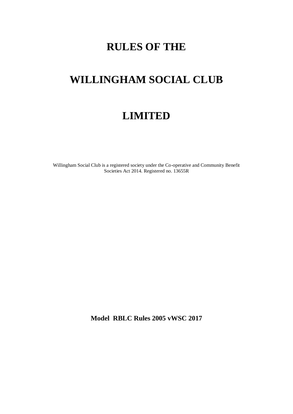# **RULES OF THE**

# **WILLINGHAM SOCIAL CLUB**

# **LIMITED**

Willingham Social Club is a registered society under the Co-operative and Community Benefit Societies Act 2014. Registered no. 13655R

**Model RBLC Rules 2005 vWSC 2017**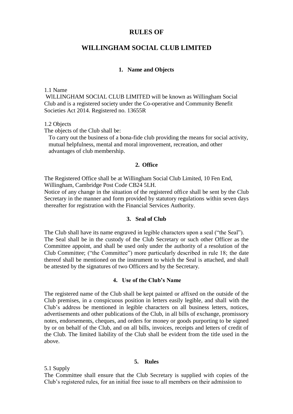# **RULES OF**

# **WILLINGHAM SOCIAL CLUB LIMITED**

## **1. Name and Objects**

#### 1.1 Name

WlLLINGHAM SOCIAL CLUB LIMITED will be known as Willingham Social Club and is a registered society under the Co-operative and Community Benefit Societies Act 2014. Registered no. 13655R

#### 1.2 Objects

The objects of the Club shall be:

 To carry out the business of a bona-fide club providing the means for social activity, mutual helpfulness, mental and moral improvement, recreation, and other advantages of club membership.

## **2. Office**

The Registered Office shall be at Willingham Social Club Limited, 10 Fen End, Willingham, Cambridge Post Code CB24 5LH.

Notice of any change in the situation of the registered office shall be sent by the Club Secretary in the manner and form provided by statutory regulations within seven days thereafter for registration with the Financial Services Authority.

# **3. Seal of Club**

The Club shall have its name engraved in legible characters upon a seal ("the Seal"). The Seal shall be in the custody of the Club Secretary or such other Officer as the Committee appoint, and shall be used only under the authority of a resolution of the Club Committee; ("the Committee") more particularly described in rule 18; the date thereof shall be mentioned on the instrument to which the Seal is attached, and shall be attested by the signatures of two Officers and by the Secretary.

#### **4. Use of the Club's Name**

The registered name of the Club shall be kept painted or affixed on the outside of the Club premises, in a conspicuous position in letters easily legible, and shall with the Club's address be mentioned in legible characters on all business letters, notices, advertisements and other publications of the Club, in all bills of exchange, promissory notes, endorsements, cheques, and orders for money or goods purporting to be signed by or on behalf of the Club, and on all bills, invoices, receipts and letters of credit of the Club. The limited liability of the Club shall be evident from the title used in the above.

#### **5. Rules**

5.1 Supply

The Committee shall ensure that the Club Secretary is supplied with copies of the Club's registered rules, for an initial free issue to all members on their admission to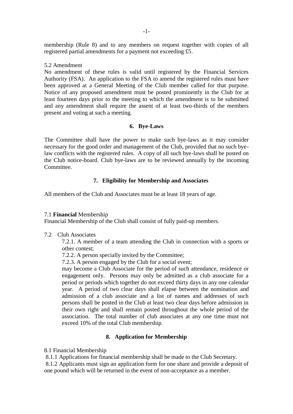membership (Rule 8) and to any members on request together with copies of all registered partial amendments for a payment not exceeding £5.

#### 5.2 Amendment

No amendment of these rules is valid until registered by the Financial Services Authority (FSA).An application to the FSA to amend the registered rules must have been approved at a General Meeting of the Club member called for that purpose. Notice of any proposed amendment must be posted prominently in the Club for at least fourteen days prior to the meeting to which the amendment is to be submitted and any amendment shall require the assent of at least two-thirds of the members present and voting at such a meeting.

# **6. Bye-Laws**

The Committee shall have the power to make such bye-laws as it may consider necessary for the good order and management of the Club, provided that no such byelaw conflicts with the registered rules. A copy of all such bye-laws shall be posted on the Club notice-board. Club bye-laws are to be reviewed annually by the incoming Committee.

# **7. Eligibility for Membership and Associates**

All members of the Club and Associates must be at least 18 years of age.

#### 7.1 **Financial** Membership

Financial Membership of the Club shall consist of fully paid-up members.

7.2 Club Associates

7.2.1. A member of a team attending the Club in connection with a sports or other contest;

7.2.2. A person specially invited by the Committee;

7.2.3. A person engaged by the Club for a social event;

may become a Club Associate for the period of such attendance, residence or engagement only. Persons may only be admitted as a club associate for a period or periods which together do not exceed thirty days in any one calendar year. A period of two clear days shall elapse between the nomination and admission of a club associate and a list of names and addresses of such persons shall be posted in the Club at least two clear days before admission in their own right and shall remain posted throughout the whole period of the association. The total number of club associates at any one time must not exceed 10% of the total Club membership.

#### **8. Application for Membership**

8.1 Financial Membership

8.1.1 Applications for financial membership shall be made to the Club Secretary.

8.1.2 Applicants must sign an application form for one share and provide a deposit of one pound which will be returned in the event of non-acceptance as a member.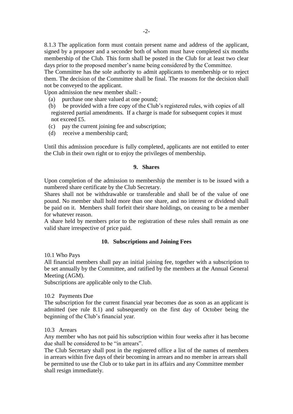8.1.3 The application form must contain present name and address of the applicant, signed by a proposer and a seconder both of whom must have completed six months membership of the Club. This form shall be posted in the Club for at least two clear days prior to the proposed member's name being considered by the Committee.

The Committee has the sole authority to admit applicants to membership or to reject them. The decision of the Committee shall be final. The reasons for the decision shall not be conveyed to the applicant.

Upon admission the new member shall: -

- (a) purchase one share valued at one pound;
- (b) be provided with a free copy of the Club's registered rules, with copies of all registered partial amendments. If a charge is made for subsequent copies it must not exceed £5.
- (c) pay the current joining fee and subscription;
- (d) receive a membership card;

Until this admission procedure is fully completed, applicants are not entitled to enter the Club in their own right or to enjoy the privileges of membership.

#### **9. Shares**

Upon completion of the admission to membership the member is to be issued with a numbered share certificate by the Club Secretary.

Shares shall not be withdrawable or transferable and shall be of the value of one pound. No member shall hold more than one share, and no interest or dividend shall be paid on it. Members shall forfeit their share holdings, on ceasing to be a member for whatever reason.

A share held by members prior to the registration of these rules shall remain as one valid share irrespective of price paid.

#### **10. Subscriptions and Joining Fees**

10.1 Who Pays

All financial members shall pay an initial joining fee, together with a subscription to be set annually by the Committee, and ratified by the members at the Annual General Meeting (AGM).

Subscriptions are applicable only to the Club.

#### 10.2 Payments Due

The subscription for the current financial year becomes due as soon as an applicant is admitted (see rule 8.1) and subsequently on the first day of October being the beginning of the Club's financial year.

#### 10.3 Arrears

Any member who has not paid his subscription within four weeks after it has become due shall be considered to be "in arrears".

The Club Secretary shall post in the registered office a list of the names of members in arrears within five days of their becoming in arrears and no member in arrears shall be permitted to use the Club or to take part in its affairs and any Committee member shall resign immediately.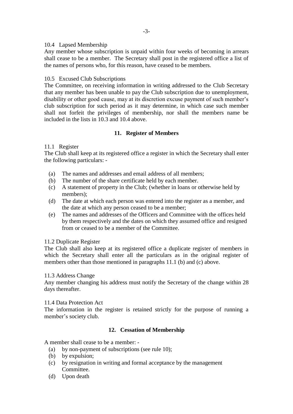# 10.4 Lapsed Membership

Any member whose subscription is unpaid within four weeks of becoming in arrears shall cease to be a member. The Secretary shall post in the registered office a list of the names of persons who, for this reason, have ceased to be members.

# 10.5 Excused Club Subscriptions

The Committee, on receiving information in writing addressed to the Club Secretary that any member has been unable to pay the Club subscription due to unemployment, disability or other good cause, may at its discretion excuse payment of such member's club subscription for such period as it may determine, in which case such member shall not forfeit the privileges of membership, nor shall the members name be included in the lists in 10.3 and 10.4 above.

# **11. Register of Members**

# 11.1 Register

The Club shall keep at its registered office a register in which the Secretary shall enter the following particulars: -

- (a) The names and addresses and email address of all members;
- (b) The number of the share certificate held by each member.
- (c) A statement of property in the Club; (whether in loans or otherwise held by members);
- (d) The date at which each person was entered into the register as a member, and the date at which any person ceased to be a member;
- (e) The names and addresses of the Officers and Committee with the offices held by them respectively and the dates on which they assumed office and resigned from or ceased to be a member of the Committee.

# 11.2 Duplicate Register

The Club shall also keep at its registered office a duplicate register of members in which the Secretary shall enter all the particulars as in the original register of members other than those mentioned in paragraphs 11.1 (b) and (c) above.

# 11.3 Address Change

Any member changing his address must notify the Secretary of the change within 28 days thereafter.

# 11.4 Data Protection Act

The information in the register is retained strictly for the purpose of running a member's society club.

# **12. Cessation of Membership**

A member shall cease to be a member: -

- (a) by non-payment of subscriptions (see rule 10);
- (b) by expulsion;
- (c) by resignation in writing and formal acceptance by the management Committee.
- (d) Upon death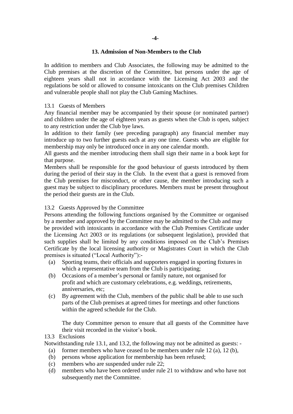# **13. Admission of Non-Members to the Club**

In addition to members and Club Associates, the following may be admitted to the Club premises at the discretion of the Committee, but persons under the age of eighteen years shall not in accordance with the Licensing Act 2003 and the regulations be sold or allowed to consume intoxicants on the Club premises Children and vulnerable people shall not play the Club Gaming Machines.

# 13.1 Guests of Members

Any financial member may be accompanied by their spouse (or nominated partner) and children under the age of eighteen years as guests when the Club is open, subject to any restriction under the Club bye laws.

In addition to their family (see preceding paragraph) any financial member may introduce up to two further guests each at any one time. Guests who are eligible for membership may only be introduced once in any one calendar month.

All guests and the member introducing them shall sign their name in a book kept for that purpose.

Members shall be responsible for the good behaviour of guests introduced by them during the period of their stay in the Club. In the event that a guest is removed from the Club premises for misconduct, or other cause, the member introducing such a guest may be subject to disciplinary procedures. Members must be present throughout the period their guests are in the Club.

# 13.2 Guests Approved by the Committee

Persons attending the following functions organised by the Committee or organised by a member and approved by the Committee may be admitted to the Club and may be provided with intoxicants in accordance with the Club Premises Certificate under the Licensing Act 2003 or its regulations (or subsequent legislation), provided that such supplies shall be limited by any conditions imposed on the Club's Premises Certificate by the local licensing authority or Magistrates Court in which the Club premises is situated ("Local Authority"):-

- (a) Sporting teams, their officials and supporters engaged in sporting fixtures in which a representative team from the Club is participating;
- (b) Occasions of a member's personal or family nature, not organised for profit and which are customary celebrations, e.g. weddings, retirements, anniversaries, etc;
- (c) By agreement with the Club, members of the public shall be able to use such parts of the Club premises at agreed times for meetings and other functions within the agreed schedule for the Club.

The duty Committee person to ensure that all guests of the Committee have their visit recorded in the visitor's book.

# 13.3 Exclusions

- Notwithstanding rule 13.1, and 13.2, the following may not be admitted as guests:
	- (a) former members who have ceased to be members under rule  $12$  (a),  $12$  (b),
	- (b) persons whose application for membership has been refused;
	- (c) members who are suspended under rule 22;
	- (d) members who have been ordered under rule 21 to withdraw and who have not subsequently met the Committee.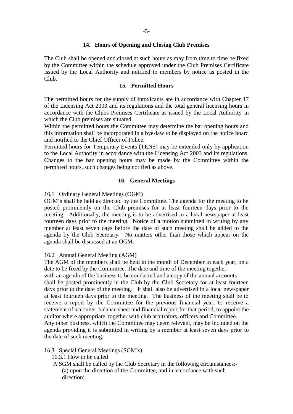# **14. Hours of Opening and Closing Club Premises**

The Club shall be opened and closed at such hours as may from time to time be fixed by the Committee within the schedule approved under the Club Premises Certificate issued by the Local Authority and notified to members by notice as posted in the Club.

# **15. Permitted Hours**

The permitted hours for the supply of intoxicants are in accordance with Chapter 17 of the Licensing Act 2003 and its regulations and the total general licensing hours in accordance with the Clubs Premises Certificate as issued by the Local Authority in which the Club premises are situated.

Within the permitted hours the Committee may determine the bar opening hours and this information shall be incorporated in a bye-law to be displayed on the notice board and notified to the Chief Officer of Police.

Permitted hours for Temporary Events (TENS) may be extended only by application to the Local Authority in accordance with the Licensing Act 2003 and its regulations. Changes to the bar opening hours may be made by the Committee within the permitted hours, such changes being notified as above.

# **16. General Meetings**

# 16.1 Ordinary General Meetings (OGM)

OGM's shall be held as directed by the Committee. The agenda for the meeting to be posted prominently on the Club premises for at least fourteen days prior to the meeting. Additionally, the meeting is to be advertised in a local newspaper at least fourteen days prior to the meeting. Notice of a motion submitted in writing by any member at least seven days before the date of such meeting shall be added to the agenda by the Club Secretary. No matters other than those which appear on the agenda shall be discussed at an OGM.

# 16.2 Annual General Meeting (AGM)

The AGM of the members shall be held in the month of December in each year, on a date to be fixed by the Committee. The date and time of the meeting together with an agenda of the business to be conducted and a copy of the annual accounts shall be posted prominently in the Club by the Club Secretary for at least fourteen days prior to the date of the meeting. It shall also be advertised in a local newspaper at least fourteen days prior to the meeting. The business of the meeting shall be to receive a report by the Committee for the previous financial year, to receive a statement of accounts, balance sheet and financial report for that period, to appoint the auditor where appropriate, together with club arbitrators, officers and Committee. Any other business, which the Committee may deem relevant, may be included on the

agenda providing it is submitted in writing by a member at least seven days prior to the date of such meeting.

# 16.3 Special General Meetings (SGM's)

- 16.3.1 How to be called
- A SGM shall be called by the Club Secretary in the following circumstances:- (a) upon the direction of the Committee, and in accordance with such direction;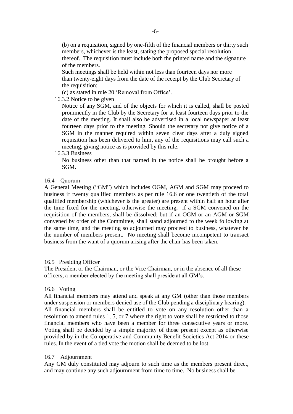(b) on a requisition, signed by one-fifth of the financial members or thirty such members, whichever is the least, stating the proposed special resolution thereof. The requisition must include both the printed name and the signature of the members.

Such meetings shall be held within not less than fourteen days nor more than twenty-eight days from the date of the receipt by the Club Secretary of the requisition;

(c) as stated in rule 20 'Removal from Office'.

16.3.2 Notice to be given

Notice of any SGM, and of the objects for which it is called, shall be posted prominently in the Club by the Secretary for at least fourteen days prior to the date of the meeting. It shall also be advertised in a local newspaper at least fourteen days prior to the meeting. Should the secretary not give notice of a SGM in the manner required within seven clear days after a duly signed requisition has been delivered to him, any of the requisitions may call such a meeting, giving notice as is provided by this rule.

16.3.3 Business

No business other than that named in the notice shall be brought before a SGM**.** 

### 16.4 Quorum

A General Meeting ("GM") which includes OGM, AGM and SGM may proceed to business if twenty qualified members as per rule 16.6 or one twentieth of the total qualified membership (whichever is the greater) are present within half an hour after the time fixed for the meeting, otherwise the meeting, if a SGM convened on the requisition of the members, shall be dissolved; but if an OGM or an AGM or SGM convened by order of the Committee, shall stand adjourned to the week following at the same time, and the meeting so adjourned may proceed to business, whatever be the number of members present. No meeting shall become incompetent to transact business from the want of a quorum arising after the chair has been taken.

#### 16.5 Presiding Officer

The President or the Chairman, or the Vice Chairman, or in the absence of all these officers, a member elected by the meeting shall preside at all GM's.

#### 16.6 Voting

All financial members may attend and speak at any GM (other than those members under suspension or members denied use of the Club pending a disciplinary hearing). All financial members shall be entitled to vote on any resolution other than a resolution to amend rules 1, 5, or 7 where the right to vote shall be restricted to those financial members who have been a member for three consecutive years or more. Voting shall be decided by a simple majority of those present except as otherwise provided by in the Co-operative and Community Benefit Societies Act 2014 or these rules. In the event of a tied vote the motion shall be deemed to be lost.

#### 16.7 Adjournment

Any GM duly constituted may adjourn to such time as the members present direct, and may continue any such adjournment from time to time. No business shall be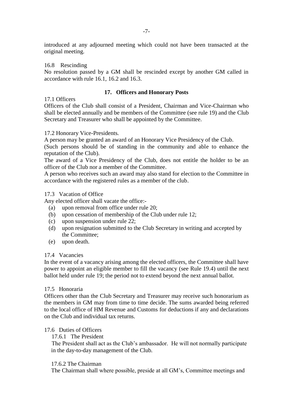introduced at any adjourned meeting which could not have been transacted at the original meeting.

## 16.8 Rescinding

No resolution passed by a GM shall be rescinded except by another GM called in accordance with rule 16.1, 16.2 and 16.3.

# **17. Officers and Honorary Posts**

### 17.1 Officers

Officers of the Club shall consist of a President, Chairman and Vice-Chairman who shall be elected annually and be members of the Committee (see rule 19) and the Club Secretary and Treasurer who shall be appointed by the Committee.

### 17.2 Honorary Vice-Presidents.

A person may be granted an award of an Honorary Vice Presidency of the Club.

(Such persons should be of standing in the community and able to enhance the reputation of the Club).

The award of a Vice Presidency of the Club, does not entitle the holder to be an officer of the Club nor a member of the Committee.

A person who receives such an award may also stand for election to the Committee in accordance with the registered rules as a member of the club.

### 17.3 Vacation of Office

Any elected officer shall vacate the office:-

- (a) upon removal from office under rule 20;
- (b) upon cessation of membership of the Club under rule 12;
- (c) upon suspension under rule 22;
- (d) upon resignation submitted to the Club Secretary in writing and accepted by the Committee;
- (e) upon death.

#### 17.4 Vacancies

In the event of a vacancy arising among the elected officers, the Committee shall have power to appoint an eligible member to fill the vacancy (see Rule 19.4) until the next ballot held under rule 19; the period not to extend beyond the next annual ballot.

#### 17.5 Honoraria

Officers other than the Club Secretary and Treasurer may receive such honorarium as the members in GM may from time to time decide. The sums awarded being referred to the local office of HM Revenue and Customs for deductions if any and declarations on the Club and individual tax returns.

# 17.6 Duties of Officers

# 17.6.1 The President

The President shall act as the Club's ambassador. He will not normally participate in the day-to-day management of the Club.

## 17.6.2 The Chairman

The Chairman shall where possible, preside at all GM's, Committee meetings and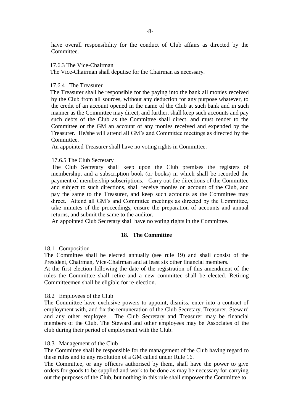have overall responsibility for the conduct of Club affairs as directed by the Committee.

#### 17.6.3 The Vice-Chairman

The Vice-Chairman shall deputise for the Chairman as necessary.

## 17.6.4 The Treasurer

 The Treasurer shall be responsible for the paying into the bank all monies received by the Club from all sources, without any deduction for any purpose whatever, to the credit of an account opened in the name of the Club at such bank and in such manner as the Committee may direct, and further, shall keep such accounts and pay such debts of the Club as the Committee shall direct, and must render to the Committee or the GM an account of any monies received and expended by the Treasurer. He/she will attend all GM's and Committee meetings as directed by the Committee.

An appointed Treasurer shall have no voting rights in Committee.

### 17.6.5 The Club Secretary

 The Club Secretary shall keep upon the Club premises the registers of membership, and a subscription book (or books) in which shall be recorded the payment of membership subscriptions. Carry out the directions of the Committee and subject to such directions, shall receive monies on account of the Club, and pay the same to the Treasurer, and keep such accounts as the Committee may direct. Attend all GM's and Committee meetings as directed by the Committee, take minutes of the proceedings, ensure the preparation of accounts and annual returns, and submit the same to the auditor.

An appointed Club Secretary shall have no voting rights in the Committee.

# **18. The Committee**

18.1 Composition

The Committee shall be elected annually (see rule 19) and shall consist of the President, Chairman, Vice-Chairman and at least six other financial members.

At the first election following the date of the registration of this amendment of the rules the Committee shall retire and a new committee shall be elected. Retiring Committeemen shall be eligible for re-election.

#### 18.2 Employees of the Club

The Committee have exclusive powers to appoint, dismiss, enter into a contract of employment with, and fix the remuneration of the Club Secretary, Treasurer, Steward and any other employee. The Club Secretary and Treasurer may be financial members of the Club. The Steward and other employees may be Associates of the club during their period of employment with the Club.

#### 18.3 Management of the Club

The Committee shall be responsible for the management of the Club having regard to these rules and to any resolution of a GM called under Rule 16.

The Committee, or any officers authorised by them, shall have the power to give orders for goods to be supplied and work to be done as may be necessary for carrying out the purposes of the Club, but nothing in this rule shall empower the Committee to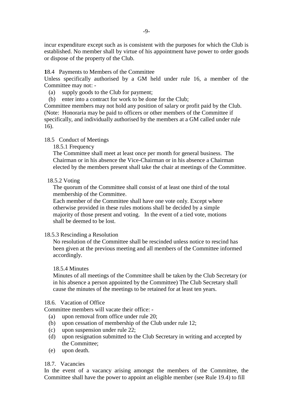incur expenditure except such as is consistent with the purposes for which the Club is established. No member shall by virtue of his appointment have power to order goods or dispose of the property of the Club.

### **1**8.4 Payments to Members of the Committee

Unless specifically authorised by a GM held under rule 16, a member of the Committee may not: -

- (a) supply goods to the Club for payment;
- (b) enter into a contract for work to be done for the Club;

Committee members may not hold any position of salary or profit paid by the Club. (Note: Honoraria may be paid to officers or other members of the Committee if specifically, and individually authorised by the members at a GM called under rule 16).

### 18.5 Conduct of Meetings

18.5.1 Frequency

 The Committee shall meet at least once per month for general business. The Chairman or in his absence the Vice-Chairman or in his absence a Chairman elected by the members present shall take the chair at meetings of the Committee.

#### 18.5.2 Voting

 The quorum of the Committee shall consist of at least one third of the total membership of the Committee.

 Each member of the Committee shall have one vote only. Except where otherwise provided in these rules motions shall be decided by a simple majority of those present and voting. In the event of a tied vote, motions shall be deemed to be lost.

#### 18.5.3 Rescinding a Resolution

 No resolution of the Committee shall be rescinded unless notice to rescind has been given at the previous meeting and all members of the Committee informed accordingly.

### 18.5.4 Minutes

 Minutes of all meetings of the Committee shall be taken by the Club Secretary (or in his absence a person appointed by the Committee) The Club Secretary shall cause the minutes of the meetings to be retained for at least ten years.

#### 18.6. Vacation of Office

Committee members will vacate their office: -

- (a) upon removal from office under rule 20;
- (b) upon cessation of membership of the Club under rule 12;
- (c) upon suspension under rule 22;
- (d) upon resignation submitted to the Club Secretary in writing and accepted by the Committee;
- (e) upon death.

# 18.7. Vacancies

In the event of a vacancy arising amongst the members of the Committee, the Committee shall have the power to appoint an eligible member (see Rule 19.4) to fill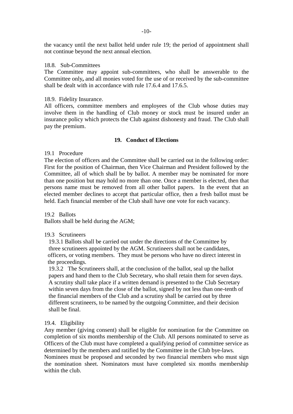the vacancy until the next ballot held under rule 19; the period of appointment shall not continue beyond the next annual election.

#### 18.8. Sub-Committees

The Committee may appoint sub-committees, who shall be answerable to the Committee only**,** and all monies voted for the use of or received by the sub-committee shall be dealt with in accordance with rule 17.6.4 and 17.6.5.

#### 18.9. Fidelity Insurance.

All officers, committee members and employees of the Club whose duties may involve them in the handling of Club money or stock must be insured under an insurance policy which protects the Club against dishonesty and fraud. The Club shall pay the premium.

#### **19. Conduct of Elections**

#### 19.1 Procedure

The election of officers and the Committee shall be carried out in the following order: First for the position of Chairman, then Vice Chairman and President followed by the Committee, all of which shall be by ballot. A member may be nominated for more than one position but may hold no more than one. Once a member is elected, then that persons name must be removed from all other ballot papers. In the event that an elected member declines to accept that particular office, then a fresh ballot must be held. Each financial member of the Club shall have one vote for each vacancy.

19.2 Ballots Ballots shall be held during the AGM;

# 19.3 Scrutineers

 19.3.1 Ballots shall be carried out under the directions of the Committee by three scrutineers appointed by the AGM. Scrutineers shall not be candidates, officers, or voting members. They must be persons who have no direct interest in the proceedings.

 19.3.2 The Scrutineers shall, at the conclusion of the ballot, seal up the ballot papers and hand them to the Club Secretary, who shall retain them for seven days. A scrutiny shall take place if a written demand is presented to the Club Secretary within seven days from the close of the ballot, signed by not less than one-tenth of the financial members of the Club and a scrutiny shall be carried out by three different scrutineers, to be named by the outgoing Committee, and their decision shall be final.

#### 19.4. Eligibility

Any member (giving consent) shall be eligible for nomination for the Committee on completion of six months membership of the Club. All persons nominated to serve as Officers of the Club must have completed a qualifying period of committee service as determined by the members and ratified by the Committee in the Club bye-laws.

Nominees must be proposed and seconded by two financial members who must sign the nomination sheet. Nominators must have completed six months membership within the club.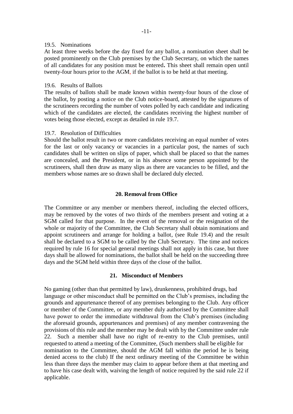#### 19.5. Nominations

At least three weeks before the day fixed for any ballot, a nomination sheet shall be posted prominently on the Club premises by the Club Secretary, on which the names of all candidates for any position must be entered**.** This sheet shall remain open until twenty-four hours prior to the AGM, if the ballot is to be held at that meeting.

## 19.6. Results of Ballots

The results of ballots shall be made known within twenty-four hours of the close of the ballot, by posting a notice on the Club notice-board, attested by the signatures of the scrutineers recording the number of votes polled by each candidate and indicating which of the candidates are elected, the candidates receiving the highest number of votes being those elected, except as detailed in rule 19.7.

### 19.7. Resolution of Difficulties

Should the ballot result in two or more candidates receiving an equal number of votes for the last or only vacancy or vacancies in a particular post, the names of such candidates shall be written on slips of paper, which shall be placed so that the names are concealed, and the President, or in his absence some person appointed by the scrutineers, shall then draw as many slips as there are vacancies to be filled, and the members whose names are so drawn shall be declared duly elected.

# **20. Removal from Office**

The Committee or any member or members thereof, including the elected officers, may be removed by the votes of two thirds of the members present and voting at a SGM called for that purpose. In the event of the removal or the resignation of the whole or majority of the Committee, the Club Secretary shall obtain nominations and appoint scrutineers and arrange for holding a ballot, (see Rule 19.4) and the result shall be declared to a SGM to be called by the Club Secretary. The time and notices required by rule 16 for special general meetings shall not apply in this case, but three days shall be allowed for nominations, the ballot shall be held on the succeeding three days and the SGM held within three days of the close of the ballot.

# **21. Misconduct of Members**

No gaming (other than that permitted by law), drunkenness, prohibited drugs, bad language or other misconduct shall be permitted on the Club's premises, including the grounds and appurtenance thereof of any premises belonging to the Club. Any officer or member of the Committee, or any member duly authorised by the Committee shall have power to order the immediate withdrawal from the Club's premises (including the aforesaid grounds, appurtenances and premises) of any member contravening the provisions of this rule and the member may be dealt with by the Committee under rule 22. Such a member shall have no right of re-entry to the Club premises, until requested to attend a meeting of the Committee, (Such members shall be eligible for nomination to the Committee, should the AGM fall within the period he is being denied access to the club) If the next ordinary meeting of the Committee be within less than three days the member may claim to appear before them at that meeting and to have his case dealt with, waiving the length of notice required by the said rule 22 if applicable.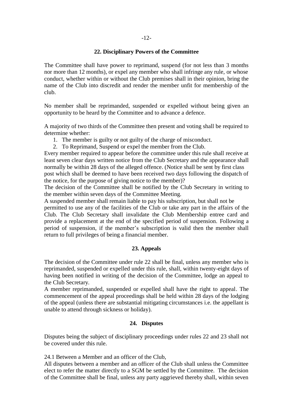# -12-

## **22. Disciplinary Powers of the Committee**

The Committee shall have power to reprimand, suspend (for not less than 3 months nor more than 12 months), or expel any member who shall infringe any rule, or whose conduct, whether within or without the Club premises shall in their opinion, bring the name of the Club into discredit and render the member unfit for membership of the club.

No member shall be reprimanded, suspended or expelled without being given an opportunity to be heard by the Committee and to advance a defence.

A majority of two thirds of the Committee then present and voting shall be required to determine whether:

- 1. The member is guilty or not guilty of the charge of misconduct.
- 2. To Reprimand, Suspend or expel the member from the Club.

Every member required to appear before the committee under this rule shall receive at least seven clear days written notice from the Club Secretary and the appearance shall normally be within 28 days of the alleged offence. (Notice shall be sent by first class post which shall be deemed to have been received two days following the dispatch of the notice, for the purpose of giving notice to the member)?

The decision of the Committee shall be notified by the Club Secretary in writing to the member within seven days of the Committee Meeting.

A suspended member shall remain liable to pay his subscription, but shall not be permitted to use any of the facilities of the Club or take any part in the affairs of the Club. The Club Secretary shall invalidate the Club Membership entree card and provide a replacement at the end of the specified period of suspension. Following a period of suspension, if the member's subscription is valid then the member shall return to full privileges of being a financial member.

# **23. Appeals**

The decision of the Committee under rule 22 shall be final, unless any member who is reprimanded, suspended or expelled under this rule, shall, within twenty-eight days of having been notified in writing of the decision of the Committee, lodge an appeal to the Club Secretary.

A member reprimanded, suspended or expelled shall have the right to appeal. The commencement of the appeal proceedings shall be held within 28 days of the lodging of the appeal (unless there are substantial mitigating circumstances i.e. the appellant is unable to attend through sickness or holiday).

# **24. Disputes**

Disputes being the subject of disciplinary proceedings under rules 22 and 23 shall not be covered under this rule.

24.1 Between a Member and an officer of the Club,

All disputes between a member and an officer of the Club shall unless the Committee elect to refer the matter directly to a SGM be settled by the Committee. The decision of the Committee shall be final, unless any party aggrieved thereby shall, within seven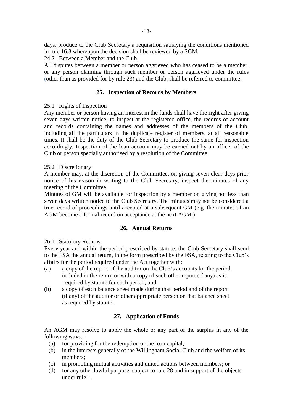days, produce to the Club Secretary a requisition satisfying the conditions mentioned in rule 16.3 whereupon the decision shall be reviewed by a SGM.

24.2 Between a Member and the Club,

All disputes between a member or person aggrieved who has ceased to be a member, or any person claiming through such member or person aggrieved under the rules (other than as provided for by rule 23) and the Club, shall be referred to committee.

# **25. Inspection of Records by Members**

# 25.1 Rights of Inspection

Any member or person having an interest in the funds shall have the right after giving seven days written notice, to inspect at the registered office, the records of account and records containing the names and addresses of the members of the Club, including all the particulars in the duplicate register of members, at all reasonable times. It shall be the duty of the Club Secretary to produce the same for inspection accordingly. Inspection of the loan account may be carried out by an officer of the Club or person specially authorised by a resolution of the Committee.

# 25.2 Discretionary

A member may, at the discretion of the Committee, on giving seven clear days prior notice of his reason in writing to the Club Secretary, inspect the minutes of any meeting of the Committee.

Minutes of GM will be available for inspection by a member on giving not less than seven days written notice to the Club Secretary. The minutes may not be considered a true record of proceedings until accepted at a subsequent GM (e.g. the minutes of an AGM become a formal record on acceptance at the next AGM.)

# **26. Annual Returns**

# 26.1 Statutory Returns

Every year and within the period prescribed by statute, the Club Secretary shall send to the FSA the annual return, in the form prescribed by the FSA, relating to the Club's affairs for the period required under the Act together with:

- (a) a copy of the report of the auditor on the Club's accounts for the period included in the return or with a copy of such other report (if any) as is required by statute for such period; and
- (b) a copy of each balance sheet made during that period and of the report (if any) of the auditor or other appropriate person on that balance sheet as required by statute.

# **27. Application of Funds**

An AGM may resolve to apply the whole or any part of the surplus in any of the following ways:-

- (a) for providing for the redemption of the loan capital;
- (b) in the interests generally of the Willingham Social Club and the welfare of its members;
- (c) in promoting mutual activities and united actions between members; or
- (d) for any other lawful purpose, subject to rule 28 and in support of the objects under rule 1.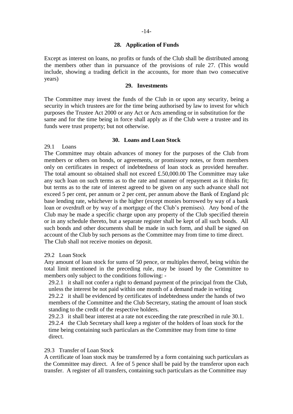## **28. Application of Funds**

Except as interest on loans, no profits or funds of the Club shall be distributed among the members other than in pursuance of the provisions of rule 27. (This would include, showing a trading deficit in the accounts, for more than two consecutive years)

### **29. Investments**

The Committee may invest the funds of the Club in or upon any security, being a security in which trustees are for the time being authorised by law to invest for which purposes the Trustee Act 2000 or any Act or Acts amending or in substitution for the same and for the time being in force shall apply as if the Club were a trustee and its funds were trust property; but not otherwise.

### **30. Loans and Loan Stock**

29.1 Loans

The Committee may obtain advances of money for the purposes of the Club from members or others on bonds, or agreements, or promissory notes, or from members only on certificates in respect of indebtedness of loan stock as provided hereafter. The total amount so obtained shall not exceed £.50,000.00 The Committee may take any such loan on such terms as to the rate and manner of repayment as it thinks fit; but terms as to the rate of interest agreed to be given on any such advance shall not exceed 5 per cent, per annum or 2 per cent, per annum above the Bank of England plc base lending rate, whichever is the higher (except monies borrowed by way of a bank loan or overdraft or by way of a mortgage of the Club's premises). Any bond of the Club may be made a specific charge upon any property of the Club specified therein or in any schedule thereto, but a separate register shall be kept of all such bonds. All such bonds and other documents shall be made in such form, and shall be signed on account of the Club by such persons as the Committee may from time to time direct. The Club shall not receive monies on deposit.

# 29.2 Loan Stock

Any amount of loan stock for sums of 50 pence, or multiples thereof, being within the total limit mentioned in the preceding rule, may be issued by the Committee to members only subject to the conditions following: -

 29.2.1 it shall not confer a right to demand payment of the principal from the Club, unless the interest be not paid within one month of a demand made in writing 29.2.2 it shall be evidenced by certificates of indebtedness under the hands of two members of the Committee and the Club Secretary, stating the amount of loan stock standing to the credit of the respective holders.

 29.2.3 it shall bear interest at a rate not exceeding the rate prescribed in rule 30.1. 29.2.4 the Club Secretary shall keep a register of the holders of loan stock for the time being containing such particulars as the Committee may from time to time direct.

# 29.3 Transfer of Loan Stock

A certificate of loan stock may be transferred by a form containing such particulars as the Committee may direct. A fee of 5 pence shall be paid by the transferor upon each transfer. A register of all transfers, containing such particulars as the Committee may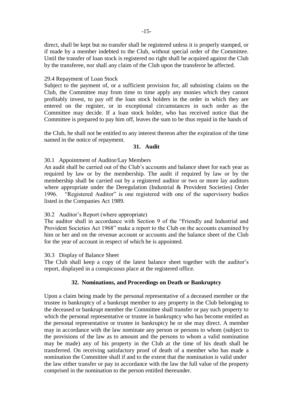direct, shall be kept but no transfer shall be registered unless it is properly stamped, or if made by a member indebted to the Club, without special order of the Committee. Until the transfer of loan stock is registered no right shall be acquired against the Club by the transferee, nor shall any claim of the Club upon the transferor be affected.

#### 29.4 Repayment of Loan Stock

Subject to the payment of, or a sufficient provision for, all subsisting claims on the Club, the Committee may from time to time apply any monies which they cannot profitably invest, to pay off the loan stock holders in the order in which they are entered on the register, or in exceptional circumstances in such order as the Committee may decide. If a loan stock holder, who has received notice that the Committee is prepared to pay him off, leaves the sum to be thus repaid in the hands of

the Club, he shall not be entitled to any interest thereon after the expiration of the time named in the notice of repayment.

#### **31. Audit**

### 30.1 Appointment of Auditor/Lay Members

An audit shall be carried out of the Club's accounts and balance sheet for each year as required by law or by the membership. The audit if required by law or by the membership shall be carried out by a registered auditor or two or more lay auditors where appropriate under the Deregulation (Industrial & Provident Societies) Order 1996. "Registered Auditor" is one registered with one of the supervisory bodies listed in the Companies Act 1989.

# 30.2 Auditor's Report (where appropriate)

The auditor shall in accordance with Section 9 of the "Friendly and Industrial and Provident Societies Act 1968" make a report to the Club on the accounts examined by him or her and on the revenue account or accounts and the balance sheet of the Club for the year of account in respect of which he is appointed.

#### 30.3 Display of Balance Sheet

The Club shall keep a copy of the latest balance sheet together with the auditor's report, displayed in a conspicuous place at the registered office.

#### **32. Nominations, and Proceedings on Death or Bankruptcy**

Upon a claim being made by the personal representative of a deceased member or the trustee in bankruptcy of a bankrupt member to any property in the Club belonging to the deceased or bankrupt member the Committee shall transfer or pay such property to which the personal representative or trustee in bankruptcy who has become entitled as the personal representative or trustee in bankruptcy he or she may direct. A member may in accordance with the law nominate any person or persons to whom (subject to the provisions of the law as to amount and the persons to whom a valid nomination may be made) any of his property in the Club at the time of his death shall be transferred. On receiving satisfactory proof of death of a member who has made a nomination the Committee shall if and to the extent that the nomination is valid under the law either transfer or pay in accordance with the law the full value of the property comprised in the nomination to the person entitled thereunder.